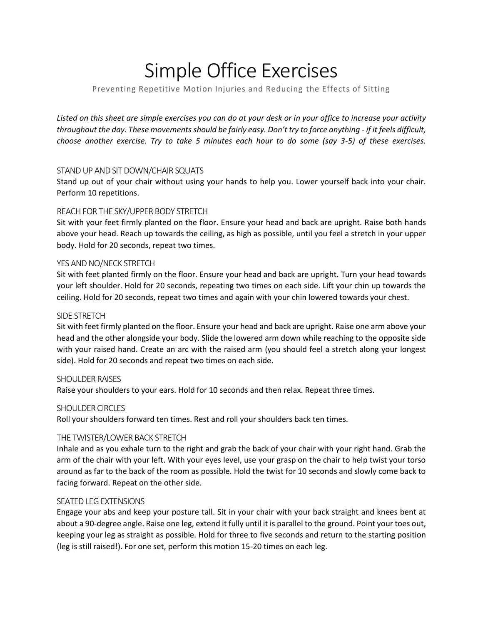# Simple Office Exercises

# Preventing Repetitive Motion Injuries and Reducing the Effects of Sitting

*Listed on this sheet are simple exercises you can do at your desk or in your office to increase your activity throughout the day. These movements should be fairly easy. Don't try to force anything - if it feels difficult, choose another exercise. Try to take 5 minutes each hour to do some (say 3-5) of these exercises.*

# STAND UP AND SIT DOWN/CHAIR SQUATS

Stand up out of your chair without using your hands to help you. Lower yourself back into your chair. Perform 10 repetitions.

# REACH FOR THE SKY/UPPER BODY STRETCH

Sit with your feet firmly planted on the floor. Ensure your head and back are upright. Raise both hands above your head. Reach up towards the ceiling, as high as possible, until you feel a stretch in your upper body. Hold for 20 seconds, repeat two times.

## YES AND NO/NECK STRETCH

Sit with feet planted firmly on the floor. Ensure your head and back are upright. Turn your head towards your left shoulder. Hold for 20 seconds, repeating two times on each side. Lift your chin up towards the ceiling. Hold for 20 seconds, repeat two times and again with your chin lowered towards your chest.

## SIDE STRETCH

Sit with feet firmly planted on the floor. Ensure your head and back are upright. Raise one arm above your head and the other alongside your body. Slide the lowered arm down while reaching to the opposite side with your raised hand. Create an arc with the raised arm (you should feel a stretch along your longest side). Hold for 20 seconds and repeat two times on each side.

## SHOULDER RAISES

Raise your shoulders to your ears. Hold for 10 seconds and then relax. Repeat three times.

## SHOULDER CIRCLES

Roll your shoulders forward ten times. Rest and roll your shoulders back ten times.

## THE TWISTER/LOWER BACK STRETCH

Inhale and as you exhale turn to the right and grab the back of your chair with your right hand. Grab the arm of the chair with your left. With your eyes level, use your grasp on the chair to help twist your torso around as far to the back of the room as possible. Hold the twist for 10 seconds and slowly come back to facing forward. Repeat on the other side.

## SEATED LEG EXTENSIONS

Engage your abs and keep your posture tall. Sit in your chair with your back straight and knees bent at about a 90-degree angle. Raise one leg, extend it fully until it is parallel to the ground. Point your toes out, keeping your leg as straight as possible. Hold for three to five seconds and return to the starting position (leg is still raised!). For one set, perform this motion 15-20 times on each leg.